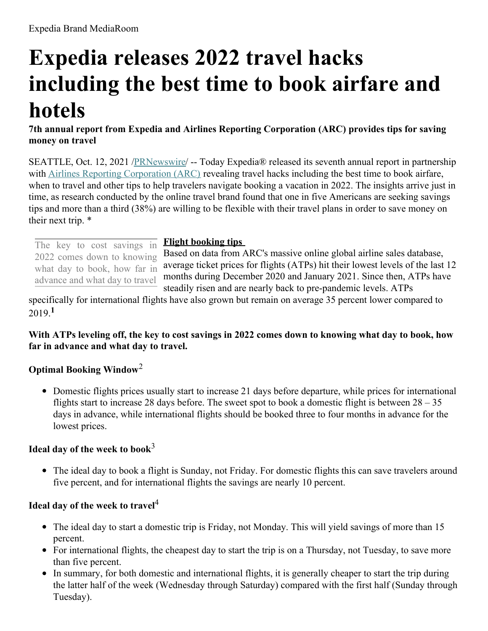# **Expedia releases 2022 travel hacks including the best time to book airfare and hotels**

**7th annual report from Expedia and Airlines Reporting Corporation (ARC) provides tips for saving money on travel**

SEATTLE, Oct. 12, 2021 [/PRNewswire](http://www.prnewswire.com/)/ -- Today Expedia® released its seventh annual report in partnership with Airlines Reporting [Corporation](https://c212.net/c/link/?t=0&l=en&o=3320016-1&h=3848593083&u=https%3A%2F%2Fwww2.arccorp.com%2F&a=Airlines+Reporting+Corporation+(ARC)) (ARC) revealing travel hacks including the best time to book airfare, when to travel and other tips to help travelers navigate booking a vacation in 2022. The insights arrive just in time, as research conducted by the online travel brand found that one in five Americans are seeking savings tips and more than a third (38%) are willing to be flexible with their travel plans in order to save money on their next trip. \*

The key to cost savings in 2022 comes down to knowing what day to book, how far in advance and what day to travel

#### **Flight booking tips**

Based on data from ARC's massive online global airline sales database, average ticket prices for flights (ATPs) hit their lowest levels of the last 12 months during December 2020 and January 2021. Since then, ATPs have steadily risen and are nearly back to pre-pandemic levels. ATPs

specifically for international flights have also grown but remain on average 35 percent lower compared to 2019. **1**

With ATPs leveling off, the key to cost savings in 2022 comes down to knowing what day to book, how **far in advance and what day to travel.**

# **Optimal Booking Window** 2

• Domestic flights prices usually start to increase 21 days before departure, while prices for international flights start to increase 28 days before. The sweet spot to book a domestic flight is between  $28 - 35$ days in advance, while international flights should be booked three to four months in advance for the lowest prices.

## **Ideal day of the week to book** 3

The ideal day to book a flight is Sunday, not Friday. For domestic flights this can save travelers around five percent, and for international flights the savings are nearly 10 percent.

# **Ideal day of the week to travel** 4

- The ideal day to start a domestic trip is Friday, not Monday. This will yield savings of more than 15 percent.
- For international flights, the cheapest day to start the trip is on a Thursday, not Tuesday, to save more than five percent.
- In summary, for both domestic and international flights, it is generally cheaper to start the trip during the latter half of the week (Wednesday through Saturday) compared with the first half (Sunday through Tuesday).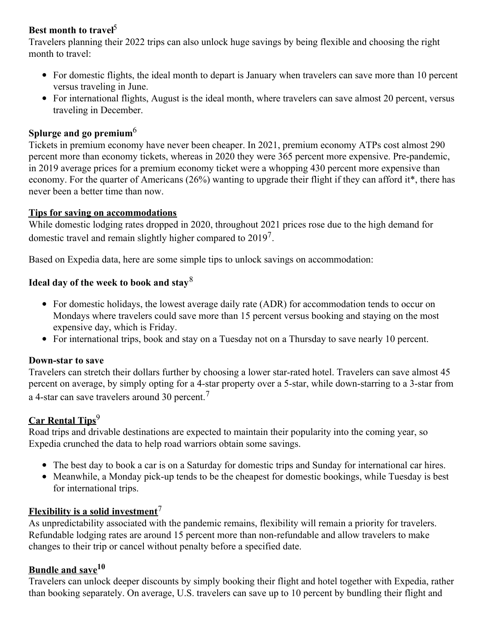# **Best month to travel** 5

Travelers planning their 2022 trips can also unlock huge savings by being flexible and choosing the right month to travel:

- For domestic flights, the ideal month to depart is January when travelers can save more than 10 percent versus traveling in June.
- For international flights, August is the ideal month, where travelers can save almost 20 percent, versus traveling in December.

## **Splurge and go premium**<sup>6</sup>

Tickets in premium economy have never been cheaper. In 2021, premium economy ATPs cost almost 290 percent more than economy tickets, whereas in 2020 they were 365 percent more expensive. Pre-pandemic, in 2019 average prices for a premium economy ticket were a whopping 430 percent more expensive than economy. For the quarter of Americans (26%) wanting to upgrade their flight if they can afford it\*, there has never been a better time than now.

#### **Tips for saving on accommodations**

While domestic lodging rates dropped in 2020, throughout 2021 prices rose due to the high demand for domestic travel and remain slightly higher compared to  $2019<sup>7</sup>$ .

Based on Expedia data, here are some simple tips to unlock savings on accommodation:

# **Ideal day of the week to book and stay** 8

- For domestic holidays, the lowest average daily rate (ADR) for accommodation tends to occur on Mondays where travelers could save more than 15 percent versus booking and staying on the most expensive day, which is Friday.
- For international trips, book and stay on a Tuesday not on a Thursday to save nearly 10 percent.

#### **Down-star to save**

Travelers can stretch their dollars further by choosing a lower star-rated hotel. Travelers can save almost 45 percent on average, by simply opting for a 4-star property over a 5-star, while down-starring to a 3-star from a 4-star can save travelers around 30 percent.<sup>7</sup>

## **Car Rental Tips** 9

Road trips and drivable destinations are expected to maintain their popularity into the coming year, so Expedia crunched the data to help road warriors obtain some savings.

- The best day to book a car is on a Saturday for domestic trips and Sunday for international car hires.
- Meanwhile, a Monday pick-up tends to be the cheapest for domestic bookings, while Tuesday is best for international trips.

# **Flexibility is a solid investment** 7

As unpredictability associated with the pandemic remains, flexibility will remain a priority for travelers. Refundable lodging rates are around 15 percent more than non-refundable and allow travelers to make changes to their trip or cancel without penalty before a specified date.

## **Bundle and save 10**

Travelers can unlock deeper discounts by simply booking their flight and hotel together with Expedia, rather than booking separately. On average, U.S. travelers can save up to 10 percent by bundling their flight and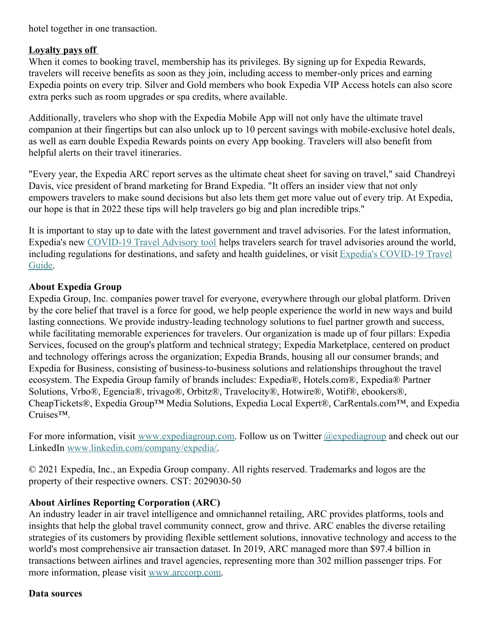hotel together in one transaction.

## **Loyalty pays off**

When it comes to booking travel, membership has its privileges. By signing up for Expedia Rewards, travelers will receive benefits as soon as they join, including access to member-only prices and earning Expedia points on every trip. Silver and Gold members who book Expedia VIP Access hotels can also score extra perks such as room upgrades or spa credits, where available.

Additionally, travelers who shop with the Expedia Mobile App will not only have the ultimate travel companion at their fingertips but can also unlock up to 10 percent savings with mobile-exclusive hotel deals, as well as earn double Expedia Rewards points on every App booking. Travelers will also benefit from helpful alerts on their travel itineraries.

"Every year, the Expedia ARC report serves as the ultimate cheat sheet for saving on travel," said Chandreyi Davis, vice president of brand marketing for Brand Expedia. "It offers an insider view that not only empowers travelers to make sound decisions but also lets them get more value out of every trip. At Expedia, our hope is that in 2022 these tips will help travelers go big and plan incredible trips."

It is important to stay up to date with the latest government and travel advisories. For the latest information, Expedia's new [COVID-19](https://c212.net/c/link/?t=0&l=en&o=3320016-1&h=1446403499&u=https%3A%2F%2Fwww.expedia.com%2Flp%2Fb%2Ftravel-advisor&a=COVID-19+Travel+Advisory+tool) Travel Advisory tool helps travelers search for travel advisories around the world, including regulations for [destinations,](https://c212.net/c/link/?t=0&l=en&o=3320016-1&h=3833350829&u=https%3A%2F%2Fwww.expedia.com%2Flp%2Fb%2Fcoronavirus-travel&a=Expedia%27s+COVID-19+Travel+Guide) and safety and health guidelines, or visit Expedia's COVID-19 Travel Guide.

# **About Expedia Group**

Expedia Group, Inc. companies power travel for everyone, everywhere through our global platform. Driven by the core belief that travel is a force for good, we help people experience the world in new ways and build lasting connections. We provide industry-leading technology solutions to fuel partner growth and success, while facilitating memorable experiences for travelers. Our organization is made up of four pillars: Expedia Services, focused on the group's platform and technical strategy; Expedia Marketplace, centered on product and technology offerings across the organization; Expedia Brands, housing all our consumer brands; and Expedia for Business, consisting of business-to-business solutions and relationships throughout the travel ecosystem. The Expedia Group family of brands includes: Expedia®, Hotels.com®, Expedia® Partner Solutions, Vrbo®, Egencia®, trivago®, Orbitz®, Travelocity®, Hotwire®, Wotif®, ebookers®, CheapTickets®, Expedia Group™ Media Solutions, Expedia Local Expert®, CarRentals.com™, and Expedia Cruises™.

For more information, visit [www.expediagroup.com](https://c212.net/c/link/?t=0&l=en&o=3320016-1&h=3761632207&u=http%3A%2F%2Fwww.expediagroup.com%2F&a=www.expediagroup.com). Follow us on Twitter [@expediagroup](https://c212.net/c/link/?t=0&l=en&o=3320016-1&h=583949832&u=https%3A%2F%2Ftwitter.com%2FExpediaGroup&a=%40expediagroup) and check out our LinkedIn [www.linkedin.com/company/expedia/](https://c212.net/c/link/?t=0&l=en&o=3320016-1&h=3903877680&u=http%3A%2F%2Fwww.linkedin.com%2Fcompany%2Fexpedia%2F&a=www.linkedin.com%2Fcompany%2Fexpedia%2F).

© 2021 Expedia, Inc., an Expedia Group company. All rights reserved. Trademarks and logos are the property of their respective owners. CST: 2029030-50

# **About Airlines Reporting Corporation (ARC)**

An industry leader in air travel intelligence and omnichannel retailing, ARC provides platforms, tools and insights that help the global travel community connect, grow and thrive. ARC enables the diverse retailing strategies of its customers by providing flexible settlement solutions, innovative technology and access to the world's most comprehensive air transaction dataset. In 2019, ARC managed more than \$97.4 billion in transactions between airlines and travel agencies, representing more than 302 million passenger trips. For more information, please visit [www.arccorp.com](https://c212.net/c/link/?t=0&l=en&o=3320016-1&h=2822352346&u=http%3A%2F%2Fwww.arccorp.com%2F&a=www.arccorp.com).

#### **Data sources**